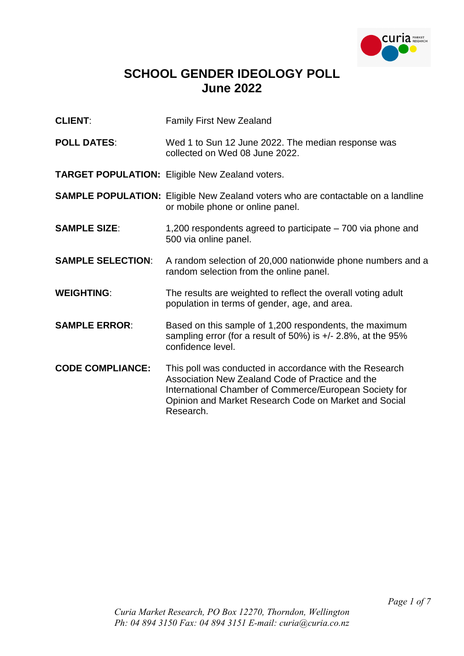

## **SCHOOL GENDER IDEOLOGY POLL June 2022**

- **CLIENT:** Family First New Zealand
- **POLL DATES**: Wed 1 to Sun 12 June 2022. The median response was collected on Wed 08 June 2022.

**TARGET POPULATION:** Eligible New Zealand voters.

- **SAMPLE POPULATION:** Eligible New Zealand voters who are contactable on a landline or mobile phone or online panel.
- **SAMPLE SIZE:** 1,200 respondents agreed to participate 700 via phone and 500 via online panel.
- **SAMPLE SELECTION:** A random selection of 20,000 nationwide phone numbers and a random selection from the online panel.
- **WEIGHTING:** The results are weighted to reflect the overall voting adult population in terms of gender, age, and area.
- **SAMPLE ERROR:** Based on this sample of 1,200 respondents, the maximum sampling error (for a result of 50%) is +/- 2.8%, at the 95% confidence level.
- **CODE COMPLIANCE:** This poll was conducted in accordance with the Research Association New Zealand Code of Practice and the International Chamber of Commerce/European Society for Opinion and Market Research Code on Market and Social Research.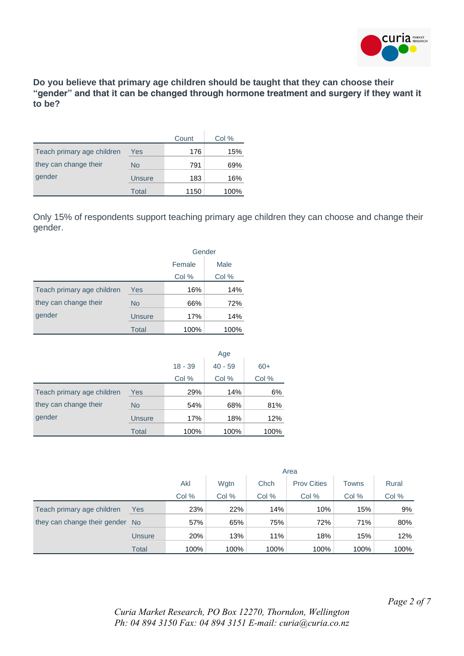

**Do you believe that primary age children should be taught that they can choose their "gender" and that it can be changed through hormone treatment and surgery if they want it to be?**

|                            |        | Count | Col % |
|----------------------------|--------|-------|-------|
| Teach primary age children | Yes    | 176   | 15%   |
| they can change their      | No     | 791   | 69%   |
| gender                     | Unsure | 183   | 16%   |
|                            | Total  | 1150  | 100%  |

Only 15% of respondents support teaching primary age children they can choose and change their gender.

|                            |               | Gender |       |  |
|----------------------------|---------------|--------|-------|--|
|                            |               | Female | Male  |  |
|                            |               | Col %  | Col % |  |
| Teach primary age children | Yes           | 16%    | 14%   |  |
| they can change their      | <b>No</b>     | 66%    | 72%   |  |
| gender                     | <b>Unsure</b> | 17%    | 14%   |  |
|                            | Total         | 100%   | 100%  |  |

|                            |               | Age       |           |       |  |
|----------------------------|---------------|-----------|-----------|-------|--|
|                            |               | $18 - 39$ | $40 - 59$ | $60+$ |  |
|                            |               | Col %     | Col %     | Col % |  |
| Teach primary age children | <b>Yes</b>    | 29%       | 14%       | 6%    |  |
| they can change their      | <b>No</b>     | 54%       | 68%       | 81%   |  |
| gender                     | <b>Unsure</b> | 17%       | 18%       | 12%   |  |
|                            | <b>Total</b>  | 100%      | 100%      | 100%  |  |

|                                 |        | Area  |      |       |                    |              |       |
|---------------------------------|--------|-------|------|-------|--------------------|--------------|-------|
|                                 |        | Akl   | Wgtn | Chch  | <b>Prov Cities</b> | <b>Towns</b> | Rural |
|                                 |        | Col % | Col% | Col % | Col %              | Col %        | Col % |
| Teach primary age children      | Yes    | 23%   | 22%  | 14%   | 10%                | 15%          | 9%    |
| they can change their gender No |        | 57%   | 65%  | 75%   | 72%                | 71%          | 80%   |
|                                 | Unsure | 20%   | 13%  | 11%   | 18%                | 15%          | 12%   |
|                                 | Total  | 100%  | 100% | 100%  | 100%               | 100%         | 100%  |

*Curia Market Research, PO Box 12270, Thorndon, Wellington Ph: 04 894 3150 Fax: 04 894 3151 E-mail: curia@curia.co.nz*

*Page 2 of 7*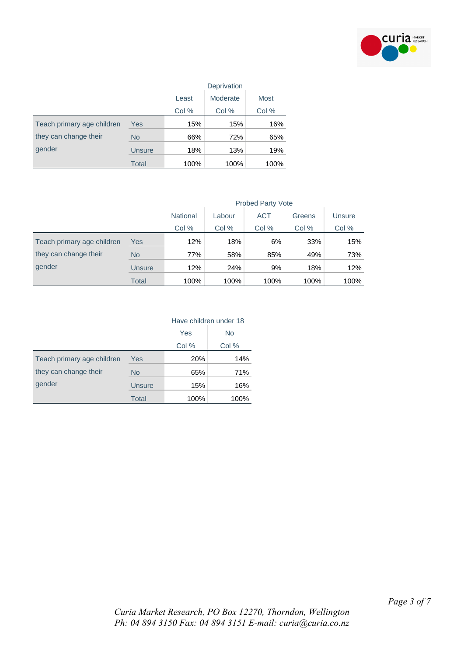

|                            |               | Deprivation |          |       |  |
|----------------------------|---------------|-------------|----------|-------|--|
|                            |               | Least       | Moderate | Most  |  |
|                            |               | Col %       | Col %    | Col % |  |
| Teach primary age children | Yes           | 15%         | 15%      | 16%   |  |
| they can change their      | <b>No</b>     | 66%         | 72%      | 65%   |  |
| gender                     | <b>Unsure</b> | 18%         | 13%      | 19%   |  |
|                            | <b>Total</b>  | 100%        | 100%     | 100%  |  |

|                            |           | <b>Probed Party Vote</b> |        |            |        |        |  |
|----------------------------|-----------|--------------------------|--------|------------|--------|--------|--|
|                            |           | <b>National</b>          | Labour | <b>ACT</b> | Greens | Unsure |  |
|                            |           | Col %                    | Col %  | Col %      | Col %  | Col %  |  |
| Teach primary age children | Yes       | 12%                      | 18%    | 6%         | 33%    | 15%    |  |
| they can change their      | <b>No</b> | 77%                      | 58%    | 85%        | 49%    | 73%    |  |
| gender                     | Unsure    | 12%                      | 24%    | 9%         | 18%    | 12%    |  |
|                            | Total     | 100%                     | 100%   | 100%       | 100%   | 100%   |  |

|                            |           | Have children under 18 |       |  |
|----------------------------|-----------|------------------------|-------|--|
|                            |           | Yes                    | No.   |  |
|                            |           | Col %                  | Col % |  |
| Teach primary age children | Yes       | 20%                    | 14%   |  |
| they can change their      | <b>No</b> | 65%                    | 71%   |  |
| gender                     | Unsure    | 15%                    | 16%   |  |
|                            | Total     | 100%                   | 100%  |  |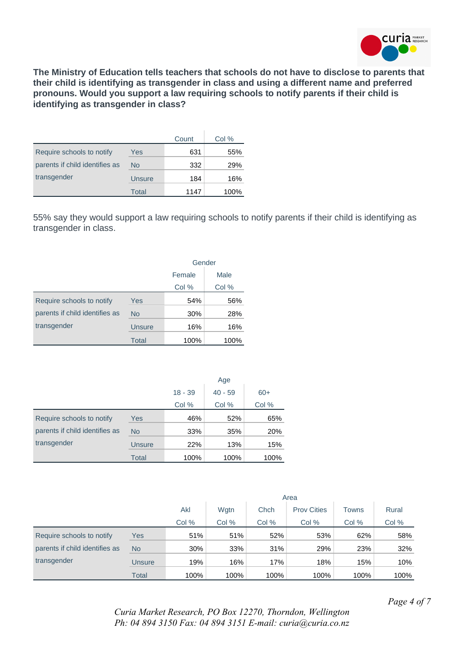

**The Ministry of Education tells teachers that schools do not have to disclose to parents that their child is identifying as transgender in class and using a different name and preferred pronouns. Would you support a law requiring schools to notify parents if their child is identifying as transgender in class?**

|                                |        | Count | Col % |
|--------------------------------|--------|-------|-------|
| Require schools to notify      | Yes    | 631   | 55%   |
| parents if child identifies as | No     | 332   | 29%   |
| transgender                    | Unsure | 184   | 16%   |
|                                | Total  | 1147  | 100%  |

55% say they would support a law requiring schools to notify parents if their child is identifying as transgender in class.

|                                |               | Gender |       |  |
|--------------------------------|---------------|--------|-------|--|
|                                |               | Female | Male  |  |
|                                |               | Col %  | Col % |  |
| Require schools to notify      | Yes           | 54%    | 56%   |  |
| parents if child identifies as | <b>No</b>     | 30%    | 28%   |  |
| transgender                    | <b>Unsure</b> | 16%    | 16%   |  |
|                                | Total         | 100%   | 100%  |  |

|                                |               | Age       |           |       |  |
|--------------------------------|---------------|-----------|-----------|-------|--|
|                                |               | $18 - 39$ | $40 - 59$ | $60+$ |  |
|                                |               | Col %     | Col %     | Col % |  |
| Require schools to notify      | <b>Yes</b>    | 46%       | 52%       | 65%   |  |
| parents if child identifies as | <b>No</b>     | 33%       | 35%       | 20%   |  |
| transgender                    | <b>Unsure</b> | 22%       | 13%       | 15%   |  |
|                                | Total         | 100%      | 100%      | 100%  |  |

|                                |           | Area  |      |       |                    |       |       |
|--------------------------------|-----------|-------|------|-------|--------------------|-------|-------|
|                                |           | Akl   | Wgtn | Chch  | <b>Prov Cities</b> | Towns | Rural |
|                                |           | Col % | Col% | Col % | Col %              | Col % | Col % |
| Require schools to notify      | Yes       | 51%   | 51%  | 52%   | 53%                | 62%   | 58%   |
| parents if child identifies as | <b>No</b> | 30%   | 33%  | 31%   | 29%                | 23%   | 32%   |
| transgender                    | Unsure    | 19%   | 16%  | 17%   | 18%                | 15%   | 10%   |
|                                | Total     | 100%  | 100% | 100%  | 100%               | 100%  | 100%  |

*Page 4 of 7*

*Curia Market Research, PO Box 12270, Thorndon, Wellington Ph: 04 894 3150 Fax: 04 894 3151 E-mail: curia@curia.co.nz*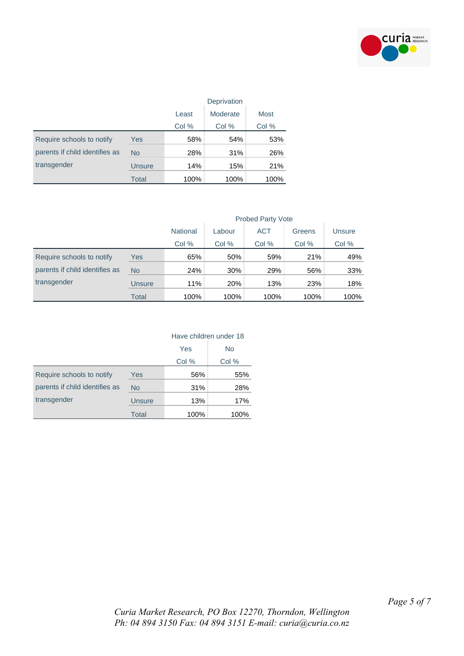

|                                |           | Deprivation |          |       |  |
|--------------------------------|-----------|-------------|----------|-------|--|
|                                |           | Least       | Moderate | Most  |  |
|                                |           | Col %       | Col %    | Col % |  |
| Require schools to notify      | Yes       | 58%         | 54%      | 53%   |  |
| parents if child identifies as | <b>No</b> | 28%         | 31%      | 26%   |  |
| transgender                    | Unsure    | 14%         | 15%      | 21%   |  |
|                                | Total     | 100%        | 100%     | 100%  |  |

|                                |           | <b>Probed Party Vote</b>                                    |       |       |       |       |  |
|--------------------------------|-----------|-------------------------------------------------------------|-------|-------|-------|-------|--|
|                                |           | <b>ACT</b><br><b>National</b><br>Labour<br>Unsure<br>Greens |       |       |       |       |  |
|                                |           | Col %                                                       | Col % | Col % | Col % | Col % |  |
| Require schools to notify      | Yes       | 65%                                                         | 50%   | 59%   | 21%   | 49%   |  |
| parents if child identifies as | <b>No</b> | 24%                                                         | 30%   | 29%   | 56%   | 33%   |  |
| transgender                    | Unsure    | 11%                                                         | 20%   | 13%   | 23%   | 18%   |  |
|                                | Total     | 100%                                                        | 100%  | 100%  | 100%  | 100%  |  |

|  | Have children under 18 |  |
|--|------------------------|--|
|  |                        |  |

|                                |              | Yes   | No    |
|--------------------------------|--------------|-------|-------|
|                                |              | Col % | Col % |
| Require schools to notify      | Yes          | 56%   | 55%   |
| parents if child identifies as | <b>No</b>    | 31%   | 28%   |
| transgender                    | Unsure       | 13%   | 17%   |
|                                | <b>Total</b> | 100%  | 100%  |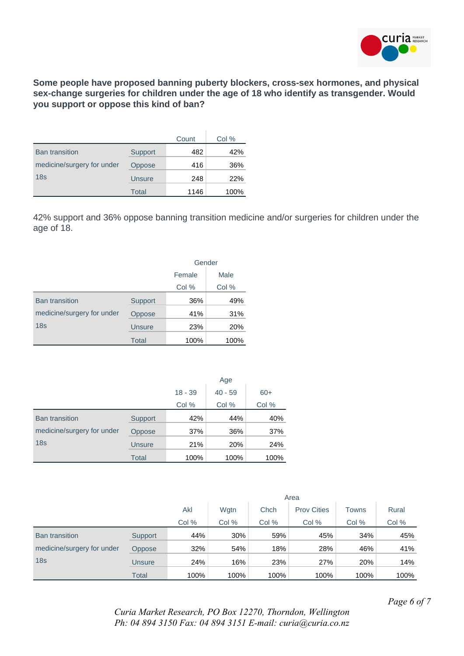

**Some people have proposed banning puberty blockers, cross-sex hormones, and physical sex-change surgeries for children under the age of 18 who identify as transgender. Would you support or oppose this kind of ban?**

|                            |               | Count | Col % |
|----------------------------|---------------|-------|-------|
| <b>Ban transition</b>      | Support       | 482   | 42%   |
| medicine/surgery for under | Oppose        | 416   | 36%   |
| 18 <sub>s</sub>            | <b>Unsure</b> | 248   | 22%   |
|                            | Total         | 1146  | 100%  |

42% support and 36% oppose banning transition medicine and/or surgeries for children under the age of 18.

|                            |               | Gender         |       |  |
|----------------------------|---------------|----------------|-------|--|
|                            |               | Male<br>Female |       |  |
|                            |               | Col %          | Col % |  |
| <b>Ban transition</b>      | Support       | 36%            | 49%   |  |
| medicine/surgery for under | Oppose        | 41%            | 31%   |  |
| 18 <sub>s</sub>            | <b>Unsure</b> | 23%            | 20%   |  |
|                            | Total         | 100%           | 100%  |  |

|                            |               | Age       |           |       |  |  |
|----------------------------|---------------|-----------|-----------|-------|--|--|
|                            |               | $18 - 39$ | $40 - 59$ | $60+$ |  |  |
|                            |               | Col %     | Col %     | Col % |  |  |
| <b>Ban transition</b>      | Support       | 42%       | 44%       | 40%   |  |  |
| medicine/surgery for under | Oppose        | 37%       | 36%       | 37%   |  |  |
| 18 <sub>S</sub>            | <b>Unsure</b> | 21%       | 20%       | 24%   |  |  |
|                            | <b>Total</b>  | 100%      | 100%      | 100%  |  |  |

|                            |               | Area  |       |       |                    |       |       |  |
|----------------------------|---------------|-------|-------|-------|--------------------|-------|-------|--|
|                            |               | Akl   | Wgtn  | Chch  | <b>Prov Cities</b> | Towns | Rural |  |
|                            |               | Col % | Col % | Col % | Col %              | Col % | Col % |  |
| <b>Ban transition</b>      | Support       | 44%   | 30%   | 59%   | 45%                | 34%   | 45%   |  |
| medicine/surgery for under | <b>Oppose</b> | 32%   | 54%   | 18%   | 28%                | 46%   | 41%   |  |
| 18 <sub>s</sub>            | Unsure        | 24%   | 16%   | 23%   | 27%                | 20%   | 14%   |  |
|                            | Total         | 100%  | 100%  | 100%  | 100%               | 100%  | 100%  |  |

*Page 6 of 7*

*Curia Market Research, PO Box 12270, Thorndon, Wellington Ph: 04 894 3150 Fax: 04 894 3151 E-mail: curia@curia.co.nz*